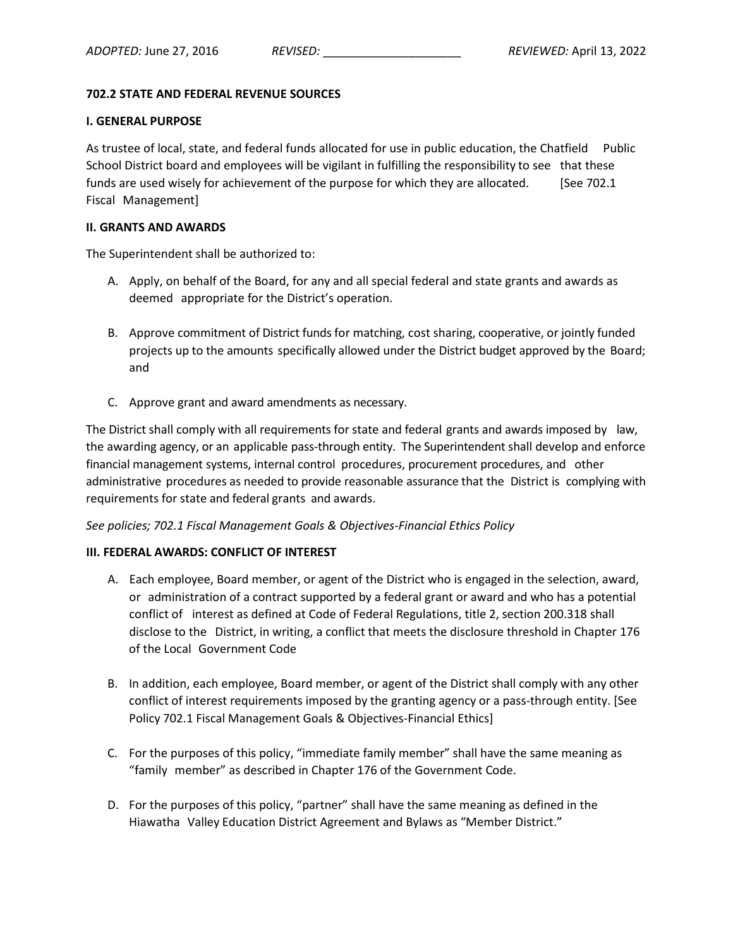# **702.2 STATE AND FEDERAL REVENUE SOURCES**

### **I. GENERAL PURPOSE**

As trustee of local, state, and federal funds allocated for use in public education, the Chatfield Public School District board and employees will be vigilant in fulfilling the responsibility to see that these funds are used wisely for achievement of the purpose for which they are allocated. [See 702.1] Fiscal Management]

### **II. GRANTS AND AWARDS**

The Superintendent shall be authorized to:

- A. Apply, on behalf of the Board, for any and all special federal and state grants and awards as deemed appropriate for the District's operation.
- B. Approve commitment of District funds for matching, cost sharing, cooperative, or jointly funded projects up to the amounts specifically allowed under the District budget approved by the Board; and
- C. Approve grant and award amendments as necessary.

The District shall comply with all requirements forstate and federal grants and awards imposed by law, the awarding agency, or an applicable pass-through entity. The Superintendent shall develop and enforce financial management systems, internal control procedures, procurement procedures, and other administrative procedures as needed to provide reasonable assurance that the District is complying with requirements for state and federal grants and awards.

# *See policies; 702.1 Fiscal Management Goals & Objectives-Financial Ethics Policy*

# **III. FEDERAL AWARDS: CONFLICT OF INTEREST**

- A. Each employee, Board member, or agent of the District who is engaged in the selection, award, or administration of a contract supported by a federal grant or award and who has a potential conflict of interest as defined at Code of Federal Regulations, title 2, section 200.318 shall disclose to the District, in writing, a conflict that meets the disclosure threshold in Chapter 176 of the Local Government Code
- B. In addition, each employee, Board member, or agent of the District shall comply with any other conflict of interest requirements imposed by the granting agency or a pass-through entity. [See Policy 702.1 Fiscal Management Goals & Objectives-Financial Ethics]
- C. For the purposes of this policy, "immediate family member" shall have the same meaning as "family member" as described in Chapter 176 of the Government Code.
- D. For the purposes of this policy, "partner" shall have the same meaning as defined in the Hiawatha Valley Education District Agreement and Bylaws as "Member District."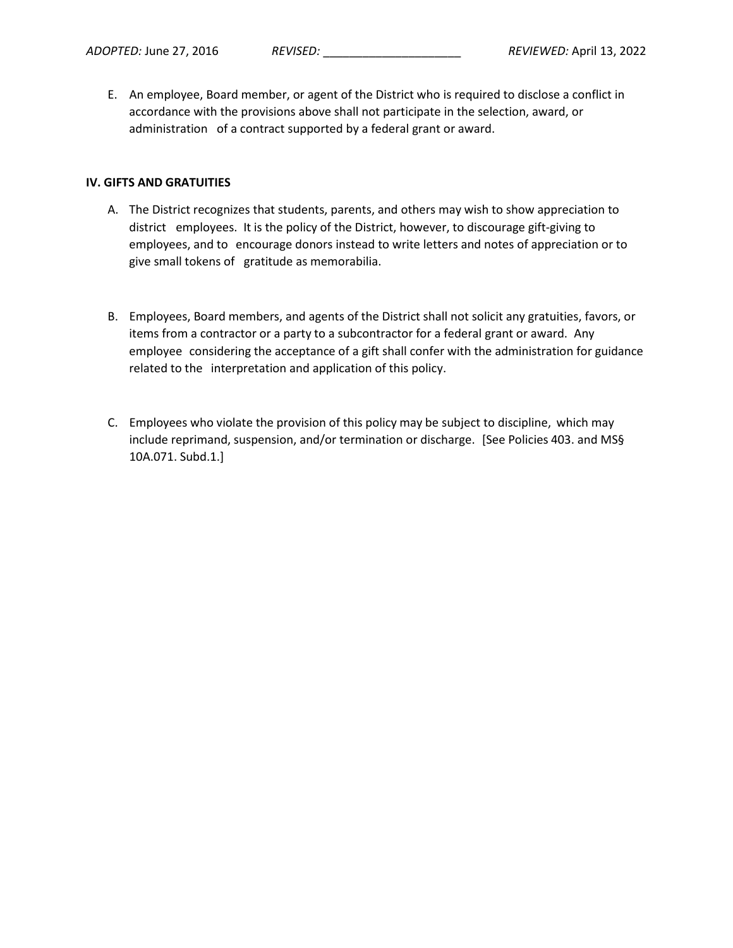E. An employee, Board member, or agent of the District who is required to disclose a conflict in accordance with the provisions above shall not participate in the selection, award, or administration of a contract supported by a federal grant or award.

### **IV. GIFTS AND GRATUITIES**

- A. The District recognizes that students, parents, and others may wish to show appreciation to district employees. It is the policy of the District, however, to discourage gift-giving to employees, and to encourage donors instead to write letters and notes of appreciation or to give small tokens of gratitude as memorabilia.
- B. Employees, Board members, and agents of the District shall not solicit any gratuities, favors, or items from a contractor or a party to a subcontractor for a federal grant or award. Any employee considering the acceptance of a gift shall confer with the administration for guidance related to the interpretation and application of this policy.
- C. Employees who violate the provision of this policy may be subject to discipline, which may include reprimand, suspension, and/or termination or discharge. [See Policies 403. and MS§ 10A.071. Subd.1.]